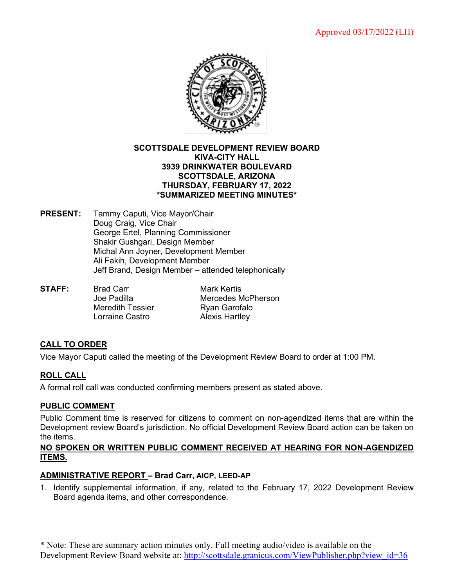

#### **SCOTTSDALE DEVELOPMENT REVIEW BOARD KIVA-CITY HALL 3939 DRINKWATER BOULEVARD SCOTTSDALE, ARIZONA THURSDAY, FEBRUARY 17, 2022 \*SUMMARIZED MEETING MINUTES\***

- **PRESENT:** Tammy Caputi, Vice Mayor/Chair Doug Craig, Vice Chair George Ertel, Planning Commissioner Shakir Gushgari, Design Member Michal Ann Joyner, Development Member Ali Fakih, Development Member Jeff Brand, Design Member – attended telephonically
- **STAFF:** Brad Carr Mark Kertis Mercedes McPherson Meredith Tessier **Ryan Garofalo** Lorraine Castro **Alexis Hartley**

# **CALL TO ORDER**

Vice Mayor Caputi called the meeting of the Development Review Board to order at 1:00 PM.

## **ROLL CALL**

A formal roll call was conducted confirming members present as stated above.

## **PUBLIC COMMENT**

Public Comment time is reserved for citizens to comment on non-agendized items that are within the Development review Board's jurisdiction. No official Development Review Board action can be taken on the items.

#### **NO SPOKEN OR WRITTEN PUBLIC COMMENT RECEIVED AT HEARING FOR NON-AGENDIZED ITEMS.**

#### **ADMINISTRATIVE REPORT – Brad Carr, AICP, LEED-AP**

1. Identify supplemental information, if any, related to the February 17, 2022 Development Review Board agenda items, and other correspondence.